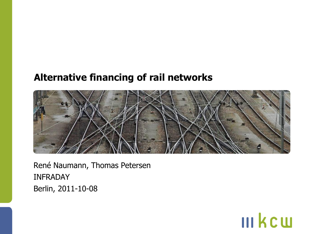### **Alternative financing of rail networks**



**III kcw** 

René Naumann, Thomas Petersen INFRADAY Berlin, 2011-10-08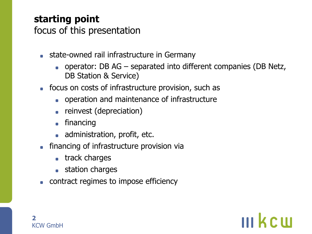## **starting point**

focus of this presentation

- **state-owned rail infrastructure in Germany** 
	- operator: DB AG separated into different companies (DB Netz, DB Station & Service)

**III kein** 

- focus on costs of infrastructure provision, such as
	- **.** operation and maintenance of infrastructure
	- reinvest (depreciation)
	- financing

**2**

- administration, profit, etc.
- **•** financing of infrastructure provision via
	- **track charges**
	- **station charges**
- **contract regimes to impose efficiency**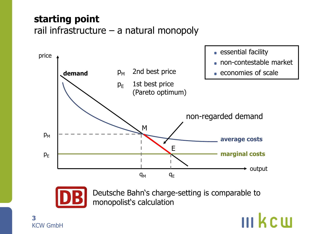## **starting point** rail infrastructure – a natural monopoly





Deutsche Bahn's charge-setting is comparable to monopolist's calculation

#### **3** KCW GmbH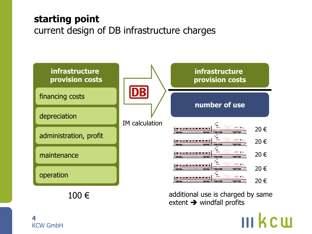### **starting point** current design of DB infrastructure charges



**4** KCW GmbH

# **III kcui**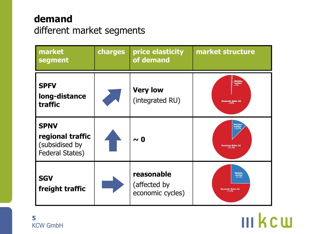## **demand**  different market segments

| market<br>segment                                                           | charges | price elasticity<br>of demand                  | market structure                                                       |
|-----------------------------------------------------------------------------|---------|------------------------------------------------|------------------------------------------------------------------------|
| <b>SPFV</b><br>long-distance<br>traffic                                     |         | <b>Very low</b><br>(integrated RU)             | Wettbe-<br>werber<br><1%<br><b>Deutsche Bahn AG</b><br>>99%            |
| <b>SPNV</b><br>regional traffic<br>(subsidised by<br><b>Federal States)</b> |         | $\sim 0$                                       | Wettbe-<br>werber<br>~12,5%<br><b>Deutsche Bahn AG</b><br>$-87.5%$     |
| <b>SGV</b><br>freight traffic                                               |         | reasonable<br>(affected by<br>economic cycles) | <b>Wettbe</b><br>werber<br>$25,1%$<br><b>Deutsche Bahn AG</b><br>74.9% |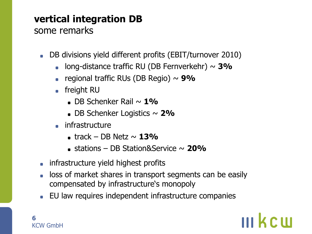## **vertical integration DB**

### some remarks

- DB divisions yield different profits (EBIT/turnover 2010)  $\bullet$ 
	- long-distance traffic RU (DB Fernverkehr) ~ **3%**  $\bullet$
	- regional traffic RUs (DB Regio) ~ **9%**
	- **o** freight RU
		- DB Schenker Rail ~ **1%**
		- DB Schenker Logistics ~ 2%
	- **infrastructure** 
		- **track DB Netz**  $\sim$  **13%**
		- stations DB Station&Service ~ **20%**
- **infrastructure yield highest profits**
- loss of market shares in transport segments can be easily compensated by infrastructure's monopoly

**III kcm** 

EU law requires independent infrastructure companies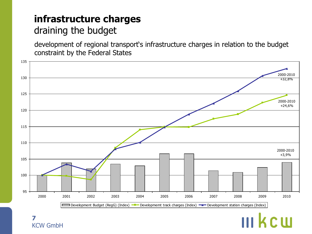### **infrastructure charges** draining the budget

development of regional transport's infrastructure charges in relation to the budget constraint by the Federal States

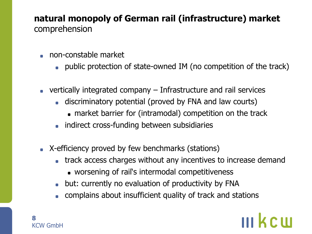### **natural monopoly of German rail (infrastructure) market**  comprehension

- non-constable market
	- public protection of state-owned IM (no competition of the track)
- $\bullet\,$  vertically integrated company  $-$  Infrastructure and rail services
	- discriminatory potential (proved by FNA and law courts)
		- market barrier for (intramodal) competition on the track
	- **indirect cross-funding between subsidiaries**
- X-efficiency proved by few benchmarks (stations)
	- **track access charges without any incentives to increase demand** 
		- worsening of rail's intermodal competitiveness
	- but: currently no evaluation of productivity by FNA  $\bullet$
	- complains about insufficient quality of track and stations

## III kem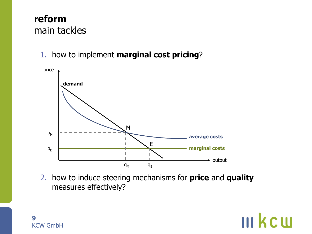### **reform** main tackles

1. how to implement **marginal cost pricing**?



2. how to induce steering mechanisms for **price** and **quality** measures effectively?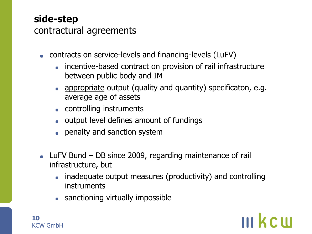## **side-step**

contractural agreements

- contracts on service-levels and financing-levels (LuFV)
	- incentive-based contract on provision of rail infrastructure  $\blacksquare$ between public body and IM
	- **appropriate output (quality and quantity) specificaton, e.g.** average age of assets
	- **controlling instruments**
	- **output level defines amount of fundings**
	- **•** penalty and sanction system
- LuFV Bund DB since 2009, regarding maintenance of rail infrastructure, but
	- inadequate output measures (productivity) and controlling instruments

**III kcm** 

**sanctioning virtually impossible**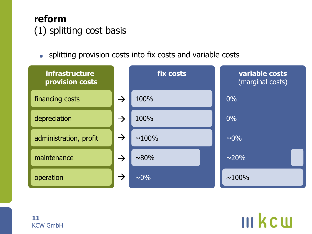

splitting provision costs into fix costs and variable costs

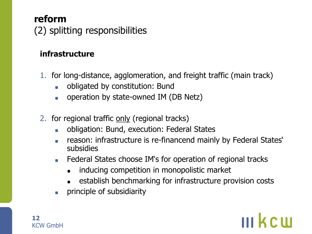## **reform** (2) splitting responsibilities

### **infrastructure**

- 1. for long-distance, agglomeration, and freight traffic (main track)
	- obligated by constitution: Bund  $\blacksquare$
	- operation by state-owned IM (DB Netz)  $\blacksquare$
- 2. for regional traffic only (regional tracks)
	- obligation: Bund, execution: Federal States  $\blacksquare$
	- reason: infrastructure is re-financend mainly by Federal States'  $\blacksquare$ subsidies
	- **Federal States choose IM's for operation of regional tracks** 
		- inducing competition in monopolistic market
		- establish benchmarking for infrastructure provision costs
	- principle of subsidiarity $\blacksquare$

## **III KCIII**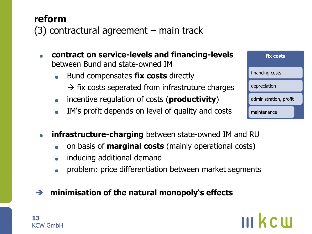(3) contractural agreement – main track

- **contract on service-levels and financing-levels**  $\blacksquare$ between Bund and state-owned IM
	- Bund compensates **fix costs** directly  $\blacksquare$  $\rightarrow$  fix costs seperated from infrastruture charges
	- incentive regulation of costs (**productivity**)  $\blacksquare$
	- IM's profit depends on level of quality and costs
- **fix costs** maintenance financing costs depreciation administration, profit
- **infrastructure-charging** between state-owned IM and RU  $\blacksquare$ 
	- on basis of **marginal costs** (mainly operational costs)  $\blacksquare$
	- inducing additional demand  $\blacksquare$

**13**

KCW GmbH

**reform**

problem: price differentiation between market segments  $\blacksquare$ 

#### **minimisation of the natural monopoly's effects**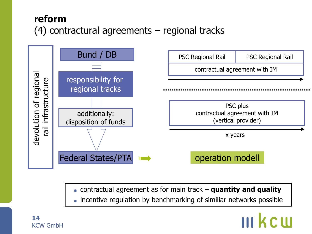## **reform** (4) contractural agreements – regional tracks



- contractual agreement as for main track **quantity and quality**
- **incentive regulation by benchmarking of similiar networks possible**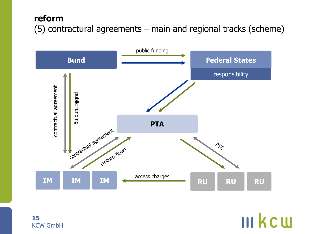### **reform** (5) contractural agreements – main and regional tracks (scheme)



**15** KCW GmbH